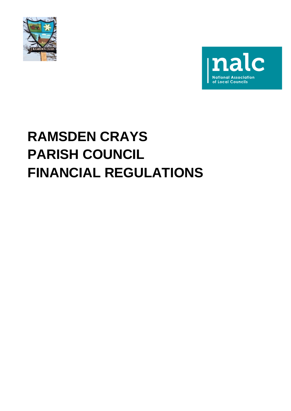



# **RAMSDEN CRAYS PARISH COUNCIL FINANCIAL REGULATIONS**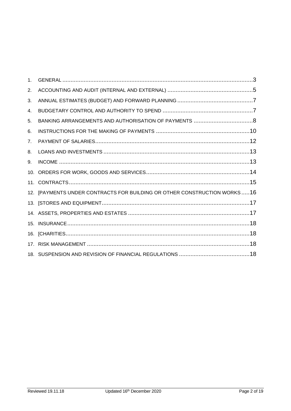| 1 <sub>1</sub> |                                                                          |
|----------------|--------------------------------------------------------------------------|
| 2.             |                                                                          |
| 3.             |                                                                          |
| 4.             |                                                                          |
| 5.             |                                                                          |
| 6.             |                                                                          |
| 7 <sub>1</sub> |                                                                          |
| 8.             |                                                                          |
| 9.             |                                                                          |
| 10.            |                                                                          |
|                |                                                                          |
|                | 12. [PAYMENTS UNDER CONTRACTS FOR BUILDING OR OTHER CONSTRUCTION WORKS16 |
|                |                                                                          |
|                |                                                                          |
|                |                                                                          |
|                |                                                                          |
| 17.            |                                                                          |
|                |                                                                          |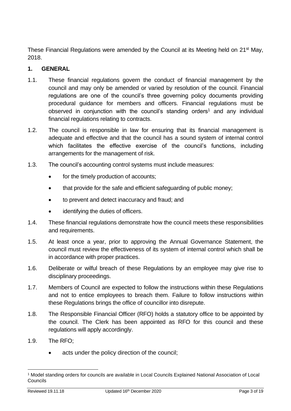These Financial Regulations were amended by the Council at its Meeting held on 21<sup>st</sup> May, 2018.

# <span id="page-2-0"></span>**1. GENERAL**

- 1.1. These financial regulations govern the conduct of financial management by the council and may only be amended or varied by resolution of the council. Financial regulations are one of the council's three governing policy documents providing procedural guidance for members and officers. Financial regulations must be observed in conjunction with the council's standing orders<sup>1</sup> and any individual financial regulations relating to contracts.
- 1.2. The council is responsible in law for ensuring that its financial management is adequate and effective and that the council has a sound system of internal control which facilitates the effective exercise of the council's functions, including arrangements for the management of risk.
- 1.3. The council's accounting control systems must include measures:
	- for the timely production of accounts;
	- that provide for the safe and efficient safeguarding of public money;
	- to prevent and detect inaccuracy and fraud; and
	- identifying the duties of officers.
- 1.4. These financial regulations demonstrate how the council meets these responsibilities and requirements.
- 1.5. At least once a year, prior to approving the Annual Governance Statement, the council must review the effectiveness of its system of internal control which shall be in accordance with proper practices.
- 1.6. Deliberate or wilful breach of these Regulations by an employee may give rise to disciplinary proceedings.
- 1.7. Members of Council are expected to follow the instructions within these Regulations and not to entice employees to breach them. Failure to follow instructions within these Regulations brings the office of councillor into disrepute.
- 1.8. The Responsible Financial Officer (RFO) holds a statutory office to be appointed by the council. The Clerk has been appointed as RFO for this council and these regulations will apply accordingly.
- 1.9. The RFO;
	- acts under the policy direction of the council;

<sup>1</sup> Model standing orders for councils are available in Local Councils Explained National Association of Local **Councils**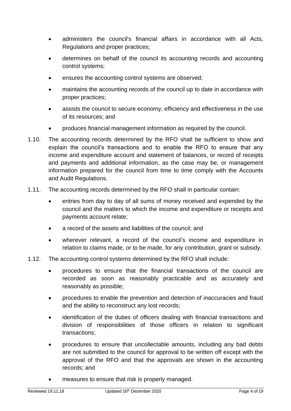- administers the council's financial affairs in accordance with all Acts, Regulations and proper practices;
- determines on behalf of the council its accounting records and accounting control systems;
- ensures the accounting control systems are observed;
- maintains the accounting records of the council up to date in accordance with proper practices;
- assists the council to secure economy, efficiency and effectiveness in the use of its resources; and
- produces financial management information as required by the council.
- 1.10. The accounting records determined by the RFO shall be sufficient to show and explain the council's transactions and to enable the RFO to ensure that any income and expenditure account and statement of balances, or record of receipts and payments and additional information, as the case may be, or management information prepared for the council from time to time comply with the Accounts and Audit Regulations.
- 1.11. The accounting records determined by the RFO shall in particular contain:
	- entries from day to day of all sums of money received and expended by the council and the matters to which the income and expenditure or receipts and payments account relate;
	- a record of the assets and liabilities of the council; and
	- wherever relevant, a record of the council's income and expenditure in relation to claims made, or to be made, for any contribution, grant or subsidy.
- 1.12. The accounting control systems determined by the RFO shall include:
	- procedures to ensure that the financial transactions of the council are recorded as soon as reasonably practicable and as accurately and reasonably as possible;
	- procedures to enable the prevention and detection of inaccuracies and fraud and the ability to reconstruct any lost records;
	- identification of the duties of officers dealing with financial transactions and division of responsibilities of those officers in relation to significant transactions;
	- procedures to ensure that uncollectable amounts, including any bad debts are not submitted to the council for approval to be written off except with the approval of the RFO and that the approvals are shown in the accounting records; and
	- measures to ensure that risk is properly managed.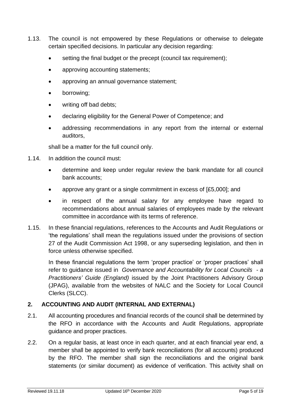- 1.13. The council is not empowered by these Regulations or otherwise to delegate certain specified decisions. In particular any decision regarding:
	- setting the final budget or the precept (council tax requirement);
	- approving accounting statements;
	- approving an annual governance statement;
	- borrowing;
	- writing off bad debts;
	- declaring eligibility for the General Power of Competence; and
	- addressing recommendations in any report from the internal or external auditors,

shall be a matter for the full council only.

- 1.14. In addition the council must:
	- determine and keep under regular review the bank mandate for all council bank accounts;
	- approve any grant or a single commitment in excess of [£5,000]; and
	- in respect of the annual salary for any employee have regard to recommendations about annual salaries of employees made by the relevant committee in accordance with its terms of reference.
- 1.15. In these financial regulations, references to the Accounts and Audit Regulations or 'the regulations' shall mean the regulations issued under the provisions of section 27 of the Audit Commission Act 1998, or any superseding legislation, and then in force unless otherwise specified.

In these financial regulations the term 'proper practice' or 'proper practices' shall refer to guidance issued in *Governance and Accountability for Local Councils - a Practitioners' Guide (England)* issued by the Joint Practitioners Advisory Group (JPAG), available from the websites of NALC and the Society for Local Council Clerks (SLCC).

# <span id="page-4-0"></span>**2. ACCOUNTING AND AUDIT (INTERNAL AND EXTERNAL)**

- 2.1. All accounting procedures and financial records of the council shall be determined by the RFO in accordance with the Accounts and Audit Regulations, appropriate guidance and proper practices.
- 2.2. On a regular basis, at least once in each quarter, and at each financial year end, a member shall be appointed to verify bank reconciliations (for all accounts) produced by the RFO. The member shall sign the reconciliations and the original bank statements (or similar document) as evidence of verification. This activity shall on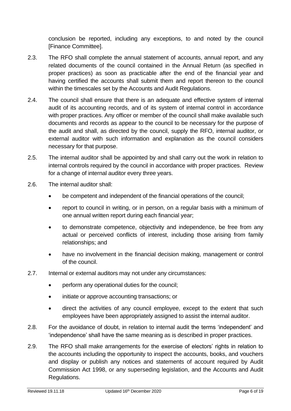conclusion be reported, including any exceptions, to and noted by the council [Finance Committee].

- 2.3. The RFO shall complete the annual statement of accounts, annual report, and any related documents of the council contained in the Annual Return (as specified in proper practices) as soon as practicable after the end of the financial year and having certified the accounts shall submit them and report thereon to the council within the timescales set by the Accounts and Audit Regulations.
- 2.4. The council shall ensure that there is an adequate and effective system of internal audit of its accounting records, and of its system of internal control in accordance with proper practices. Any officer or member of the council shall make available such documents and records as appear to the council to be necessary for the purpose of the audit and shall, as directed by the council, supply the RFO, internal auditor, or external auditor with such information and explanation as the council considers necessary for that purpose.
- 2.5. The internal auditor shall be appointed by and shall carry out the work in relation to internal controls required by the council in accordance with proper practices. Review for a change of internal auditor every three years.
- 2.6. The internal auditor shall:
	- be competent and independent of the financial operations of the council:
	- report to council in writing, or in person, on a regular basis with a minimum of one annual written report during each financial year;
	- to demonstrate competence, objectivity and independence, be free from any actual or perceived conflicts of interest, including those arising from family relationships; and
	- have no involvement in the financial decision making, management or control of the council.
- 2.7. Internal or external auditors may not under any circumstances:
	- perform any operational duties for the council;
	- initiate or approve accounting transactions; or
	- direct the activities of any council employee, except to the extent that such employees have been appropriately assigned to assist the internal auditor.
- 2.8. For the avoidance of doubt, in relation to internal audit the terms 'independent' and 'independence' shall have the same meaning as is described in proper practices.
- 2.9. The RFO shall make arrangements for the exercise of electors' rights in relation to the accounts including the opportunity to inspect the accounts, books, and vouchers and display or publish any notices and statements of account required by Audit Commission Act 1998, or any superseding legislation, and the Accounts and Audit Regulations.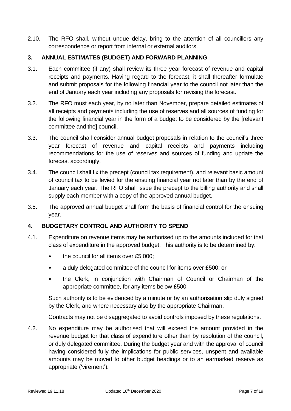2.10. The RFO shall, without undue delay, bring to the attention of all councillors any correspondence or report from internal or external auditors.

#### <span id="page-6-0"></span>**3. ANNUAL ESTIMATES (BUDGET) AND FORWARD PLANNING**

- 3.1. Each committee (if any) shall review its three year forecast of revenue and capital receipts and payments. Having regard to the forecast, it shall thereafter formulate and submit proposals for the following financial year to the council not later than the end of January each year including any proposals for revising the forecast.
- 3.2. The RFO must each year, by no later than November, prepare detailed estimates of all receipts and payments including the use of reserves and all sources of funding for the following financial year in the form of a budget to be considered by the [relevant committee and the] council.
- 3.3. The council shall consider annual budget proposals in relation to the council's three year forecast of revenue and capital receipts and payments including recommendations for the use of reserves and sources of funding and update the forecast accordingly.
- 3.4. The council shall fix the precept (council tax requirement), and relevant basic amount of council tax to be levied for the ensuing financial year not later than by the end of January each year. The RFO shall issue the precept to the billing authority and shall supply each member with a copy of the approved annual budget.
- 3.5. The approved annual budget shall form the basis of financial control for the ensuing year.

#### <span id="page-6-1"></span>**4. BUDGETARY CONTROL AND AUTHORITY TO SPEND**

- 4.1. Expenditure on revenue items may be authorised up to the amounts included for that class of expenditure in the approved budget. This authority is to be determined by:
	- the council for all items over £5,000;
	- a duly delegated committee of the council for items over £500; or
	- the Clerk, in conjunction with Chairman of Council or Chairman of the appropriate committee, for any items below £500.

Such authority is to be evidenced by a minute or by an authorisation slip duly signed by the Clerk, and where necessary also by the appropriate Chairman.

Contracts may not be disaggregated to avoid controls imposed by these regulations.

4.2. No expenditure may be authorised that will exceed the amount provided in the revenue budget for that class of expenditure other than by resolution of the council, or duly delegated committee. During the budget year and with the approval of council having considered fully the implications for public services, unspent and available amounts may be moved to other budget headings or to an earmarked reserve as appropriate ('virement').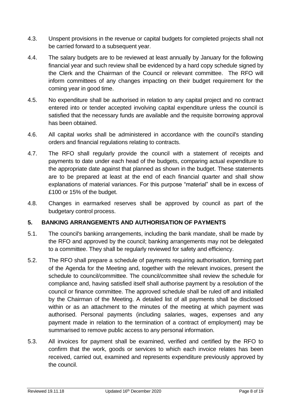- 4.3. Unspent provisions in the revenue or capital budgets for completed projects shall not be carried forward to a subsequent year.
- 4.4. The salary budgets are to be reviewed at least annually by January for the following financial year and such review shall be evidenced by a hard copy schedule signed by the Clerk and the Chairman of the Council or relevant committee. The RFO will inform committees of any changes impacting on their budget requirement for the coming year in good time.
- 4.5. No expenditure shall be authorised in relation to any capital project and no contract entered into or tender accepted involving capital expenditure unless the council is satisfied that the necessary funds are available and the requisite borrowing approval has been obtained.
- 4.6. All capital works shall be administered in accordance with the council's standing orders and financial regulations relating to contracts.
- 4.7. The RFO shall regularly provide the council with a statement of receipts and payments to date under each head of the budgets, comparing actual expenditure to the appropriate date against that planned as shown in the budget. These statements are to be prepared at least at the end of each financial quarter and shall show explanations of material variances. For this purpose "material" shall be in excess of £100 or 15% of the budget.
- 4.8. Changes in earmarked reserves shall be approved by council as part of the budgetary control process.

# <span id="page-7-0"></span>**5. BANKING ARRANGEMENTS AND AUTHORISATION OF PAYMENTS**

- 5.1. The council's banking arrangements, including the bank mandate, shall be made by the RFO and approved by the council; banking arrangements may not be delegated to a committee. They shall be regularly reviewed for safety and efficiency.
- 5.2. The RFO shall prepare a schedule of payments requiring authorisation, forming part of the Agenda for the Meeting and, together with the relevant invoices, present the schedule to council/committee. The council/committee shall review the schedule for compliance and, having satisfied itself shall authorise payment by a resolution of the council or finance committee. The approved schedule shall be ruled off and initialled by the Chairman of the Meeting. A detailed list of all payments shall be disclosed within or as an attachment to the minutes of the meeting at which payment was authorised. Personal payments (including salaries, wages, expenses and any payment made in relation to the termination of a contract of employment) may be summarised to remove public access to any personal information.
- 5.3. All invoices for payment shall be examined, verified and certified by the RFO to confirm that the work, goods or services to which each invoice relates has been received, carried out, examined and represents expenditure previously approved by the council.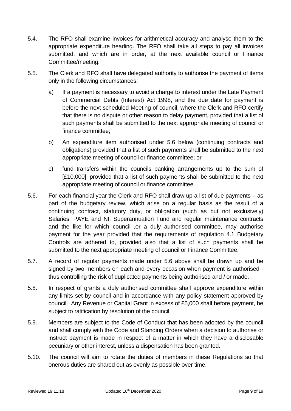- 5.4. The RFO shall examine invoices for arithmetical accuracy and analyse them to the appropriate expenditure heading. The RFO shall take all steps to pay all invoices submitted, and which are in order, at the next available council or Finance Committee/meeting.
- 5.5. The Clerk and RFO shall have delegated authority to authorise the payment of items only in the following circumstances:
	- a) If a payment is necessary to avoid a charge to interest under the Late Payment of Commercial Debts (Interest) Act 1998, and the due date for payment is before the next scheduled Meeting of council, where the Clerk and RFO certify that there is no dispute or other reason to delay payment, provided that a list of such payments shall be submitted to the next appropriate meeting of council or finance committee;
	- b) An expenditure item authorised under 5.6 below (continuing contracts and obligations) provided that a list of such payments shall be submitted to the next appropriate meeting of council or finance committee; or
	- c) fund transfers within the councils banking arrangements up to the sum of [£10,000], provided that a list of such payments shall be submitted to the next appropriate meeting of council or finance committee.
- 5.6. For each financial year the Clerk and RFO shall draw up a list of due payments as part of the budgetary review, which arise on a regular basis as the result of a continuing contract, statutory duty, or obligation (such as but not exclusively) Salaries, PAYE and NI, Superannuation Fund and regular maintenance contracts and the like for which council ,or a duly authorised committee, may authorise payment for the year provided that the requirements of regulation 4.1 Budgetary Controls are adhered to, provided also that a list of such payments shall be submitted to the next appropriate meeting of council or Finance Committee.
- 5.7. A record of regular payments made under 5.6 above shall be drawn up and be signed by two members on each and every occasion when payment is authorised thus controlling the risk of duplicated payments being authorised and / or made.
- 5.8. In respect of grants a duly authorised committee shall approve expenditure within any limits set by council and in accordance with any policy statement approved by council. Any Revenue or Capital Grant in excess of £5,000 shall before payment, be subject to ratification by resolution of the council.
- 5.9. Members are subject to the Code of Conduct that has been adopted by the council and shall comply with the Code and Standing Orders when a decision to authorise or instruct payment is made in respect of a matter in which they have a disclosable pecuniary or other interest, unless a dispensation has been granted.
- 5.10. The council will aim to rotate the duties of members in these Regulations so that onerous duties are shared out as evenly as possible over time.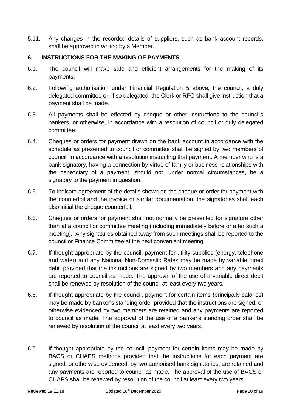5.11. Any changes in the recorded details of suppliers, such as bank account records, shall be approved in writing by a Member.

# <span id="page-9-0"></span>**6. INSTRUCTIONS FOR THE MAKING OF PAYMENTS**

- 6.1. The council will make safe and efficient arrangements for the making of its payments.
- 6.2. Following authorisation under Financial Regulation 5 above, the council, a duly delegated committee or, if so delegated, the Clerk or RFO shall give instruction that a payment shall be made.
- 6.3. All payments shall be effected by cheque or other instructions to the council's bankers, or otherwise, in accordance with a resolution of council or duly delegated committee.
- 6.4. Cheques or orders for payment drawn on the bank account in accordance with the schedule as presented to council or committee shall be signed by two members of council, in accordance with a resolution instructing that payment. A member who is a bank signatory, having a connection by virtue of family or business relationships with the beneficiary of a payment, should not, under normal circumstances, be a signatory to the payment in question.
- 6.5. To indicate agreement of the details shown on the cheque or order for payment with the counterfoil and the invoice or similar documentation, the signatories shall each also initial the cheque counterfoil.
- 6.6. Cheques or orders for payment shall not normally be presented for signature other than at a council or committee meeting (including immediately before or after such a meeting). Any signatures obtained away from such meetings shall be reported to the council or Finance Committee at the next convenient meeting.
- 6.7. If thought appropriate by the council, payment for utility supplies (energy, telephone and water) and any National Non-Domestic Rates may be made by variable direct debit provided that the instructions are signed by two members and any payments are reported to council as made. The approval of the use of a variable direct debit shall be renewed by resolution of the council at least every two years.
- 6.8. If thought appropriate by the council, payment for certain items (principally salaries) may be made by banker's standing order provided that the instructions are signed, or otherwise evidenced by two members are retained and any payments are reported to council as made. The approval of the use of a banker's standing order shall be renewed by resolution of the council at least every two years.
- 6.9. If thought appropriate by the council, payment for certain items may be made by BACS or CHAPS methods provided that the instructions for each payment are signed, or otherwise evidenced, by two authorised bank signatories, are retained and any payments are reported to council as made. The approval of the use of BACS or CHAPS shall be renewed by resolution of the council at least every two years.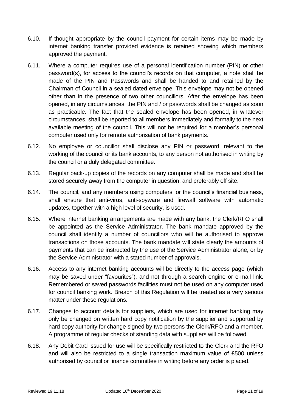- 6.10. If thought appropriate by the council payment for certain items may be made by internet banking transfer provided evidence is retained showing which members approved the payment.
- 6.11. Where a computer requires use of a personal identification number (PIN) or other password(s), for access to the council's records on that computer, a note shall be made of the PIN and Passwords and shall be handed to and retained by the Chairman of Council in a sealed dated envelope. This envelope may not be opened other than in the presence of two other councillors. After the envelope has been opened, in any circumstances, the PIN and / or passwords shall be changed as soon as practicable. The fact that the sealed envelope has been opened, in whatever circumstances, shall be reported to all members immediately and formally to the next available meeting of the council. This will not be required for a member's personal computer used only for remote authorisation of bank payments.
- 6.12. No employee or councillor shall disclose any PIN or password, relevant to the working of the council or its bank accounts, to any person not authorised in writing by the council or a duly delegated committee.
- 6.13. Regular back-up copies of the records on any computer shall be made and shall be stored securely away from the computer in question, and preferably off site.
- 6.14. The council, and any members using computers for the council's financial business, shall ensure that anti-virus, anti-spyware and firewall software with automatic updates, together with a high level of security, is used.
- 6.15. Where internet banking arrangements are made with any bank, the Clerk/RFO shall be appointed as the Service Administrator. The bank mandate approved by the council shall identify a number of councillors who will be authorised to approve transactions on those accounts. The bank mandate will state clearly the amounts of payments that can be instructed by the use of the Service Administrator alone, or by the Service Administrator with a stated number of approvals.
- 6.16. Access to any internet banking accounts will be directly to the access page (which may be saved under "favourites"), and not through a search engine or e-mail link. Remembered or saved passwords facilities must not be used on any computer used for council banking work. Breach of this Regulation will be treated as a very serious matter under these regulations.
- 6.17. Changes to account details for suppliers, which are used for internet banking may only be changed on written hard copy notification by the supplier and supported by hard copy authority for change signed by two persons the Clerk/RFO and a member. A programme of regular checks of standing data with suppliers will be followed.
- 6.18. Any Debit Card issued for use will be specifically restricted to the Clerk and the RFO and will also be restricted to a single transaction maximum value of £500 unless authorised by council or finance committee in writing before any order is placed.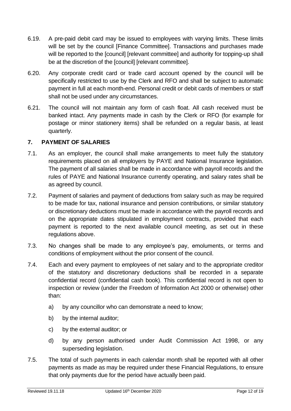- 6.19. A pre-paid debit card may be issued to employees with varying limits. These limits will be set by the council [Finance Committee]. Transactions and purchases made will be reported to the [council] [relevant committee] and authority for topping-up shall be at the discretion of the [council] [relevant committee].
- 6.20. Any corporate credit card or trade card account opened by the council will be specifically restricted to use by the Clerk and RFO and shall be subject to automatic payment in full at each month-end. Personal credit or debit cards of members or staff shall not be used under any circumstances.
- 6.21. The council will not maintain any form of cash float. All cash received must be banked intact. Any payments made in cash by the Clerk or RFO (for example for postage or minor stationery items) shall be refunded on a regular basis, at least quarterly.

# <span id="page-11-0"></span>**7. PAYMENT OF SALARIES**

- 7.1. As an employer, the council shall make arrangements to meet fully the statutory requirements placed on all employers by PAYE and National Insurance legislation. The payment of all salaries shall be made in accordance with payroll records and the rules of PAYE and National Insurance currently operating, and salary rates shall be as agreed by council.
- 7.2. Payment of salaries and payment of deductions from salary such as may be required to be made for tax, national insurance and pension contributions, or similar statutory or discretionary deductions must be made in accordance with the payroll records and on the appropriate dates stipulated in employment contracts, provided that each payment is reported to the next available council meeting, as set out in these regulations above.
- 7.3. No changes shall be made to any employee's pay, emoluments, or terms and conditions of employment without the prior consent of the council.
- 7.4. Each and every payment to employees of net salary and to the appropriate creditor of the statutory and discretionary deductions shall be recorded in a separate confidential record (confidential cash book). This confidential record is not open to inspection or review (under the Freedom of Information Act 2000 or otherwise) other than:
	- a) by any councillor who can demonstrate a need to know;
	- b) by the internal auditor;
	- c) by the external auditor; or
	- d) by any person authorised under Audit Commission Act 1998, or any superseding legislation.
- 7.5. The total of such payments in each calendar month shall be reported with all other payments as made as may be required under these Financial Regulations, to ensure that only payments due for the period have actually been paid.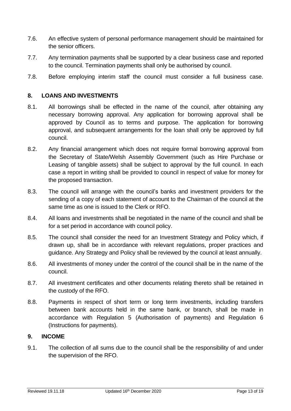- 7.6. An effective system of personal performance management should be maintained for the senior officers.
- 7.7. Any termination payments shall be supported by a clear business case and reported to the council. Termination payments shall only be authorised by council.
- 7.8. Before employing interim staff the council must consider a full business case.

#### <span id="page-12-0"></span>**8. LOANS AND INVESTMENTS**

- 8.1. All borrowings shall be effected in the name of the council, after obtaining any necessary borrowing approval. Any application for borrowing approval shall be approved by Council as to terms and purpose. The application for borrowing approval, and subsequent arrangements for the loan shall only be approved by full council.
- 8.2. Any financial arrangement which does not require formal borrowing approval from the Secretary of State/Welsh Assembly Government (such as Hire Purchase or Leasing of tangible assets) shall be subject to approval by the full council. In each case a report in writing shall be provided to council in respect of value for money for the proposed transaction.
- 8.3. The council will arrange with the council's banks and investment providers for the sending of a copy of each statement of account to the Chairman of the council at the same time as one is issued to the Clerk or RFO.
- 8.4. All loans and investments shall be negotiated in the name of the council and shall be for a set period in accordance with council policy.
- 8.5. The council shall consider the need for an Investment Strategy and Policy which, if drawn up, shall be in accordance with relevant regulations, proper practices and guidance. Any Strategy and Policy shall be reviewed by the council at least annually.
- 8.6. All investments of money under the control of the council shall be in the name of the council.
- 8.7. All investment certificates and other documents relating thereto shall be retained in the custody of the RFO.
- 8.8. Payments in respect of short term or long term investments, including transfers between bank accounts held in the same bank, or branch, shall be made in accordance with Regulation 5 (Authorisation of payments) and Regulation 6 (Instructions for payments).

#### <span id="page-12-1"></span>**9. INCOME**

9.1. The collection of all sums due to the council shall be the responsibility of and under the supervision of the RFO.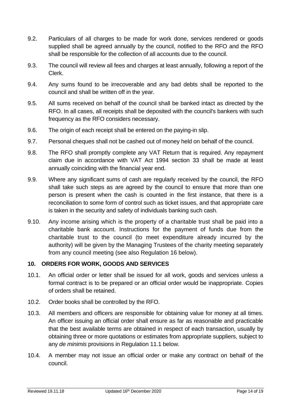- 9.2. Particulars of all charges to be made for work done, services rendered or goods supplied shall be agreed annually by the council, notified to the RFO and the RFO shall be responsible for the collection of all accounts due to the council.
- 9.3. The council will review all fees and charges at least annually, following a report of the Clerk.
- 9.4. Any sums found to be irrecoverable and any bad debts shall be reported to the council and shall be written off in the year.
- 9.5. All sums received on behalf of the council shall be banked intact as directed by the RFO. In all cases, all receipts shall be deposited with the council's bankers with such frequency as the RFO considers necessary.
- 9.6. The origin of each receipt shall be entered on the paying-in slip.
- 9.7. Personal cheques shall not be cashed out of money held on behalf of the council.
- 9.8. The RFO shall promptly complete any VAT Return that is required. Any repayment claim due in accordance with VAT Act 1994 section 33 shall be made at least annually coinciding with the financial year end.
- 9.9. Where any significant sums of cash are regularly received by the council, the RFO shall take such steps as are agreed by the council to ensure that more than one person is present when the cash is counted in the first instance, that there is a reconciliation to some form of control such as ticket issues, and that appropriate care is taken in the security and safety of individuals banking such cash.
- 9.10. Any income arising which is the property of a charitable trust shall be paid into a charitable bank account. Instructions for the payment of funds due from the charitable trust to the council (to meet expenditure already incurred by the authority) will be given by the Managing Trustees of the charity meeting separately from any council meeting (see also Regulation 16 below).

# <span id="page-13-0"></span>**10. ORDERS FOR WORK, GOODS AND SERVICES**

- 10.1. An official order or letter shall be issued for all work, goods and services unless a formal contract is to be prepared or an official order would be inappropriate. Copies of orders shall be retained.
- 10.2. Order books shall be controlled by the RFO.
- 10.3. All members and officers are responsible for obtaining value for money at all times. An officer issuing an official order shall ensure as far as reasonable and practicable that the best available terms are obtained in respect of each transaction, usually by obtaining three or more quotations or estimates from appropriate suppliers, subject to any *de minimis* provisions in Regulation 11.1 below.
- 10.4. A member may not issue an official order or make any contract on behalf of the council.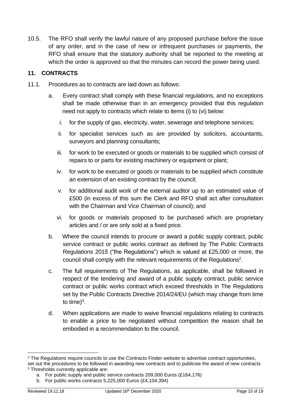10.5. The RFO shall verify the lawful nature of any proposed purchase before the issue of any order, and in the case of new or infrequent purchases or payments, the RFO shall ensure that the statutory authority shall be reported to the meeting at which the order is approved so that the minutes can record the power being used.

# <span id="page-14-0"></span>**11. CONTRACTS**

- 11.1. Procedures as to contracts are laid down as follows:
	- a. Every contract shall comply with these financial regulations, and no exceptions shall be made otherwise than in an emergency provided that this regulation need not apply to contracts which relate to items (i) to (vi) below:
		- i. for the supply of gas, electricity, water, sewerage and telephone services;
		- ii. for specialist services such as are provided by solicitors, accountants, surveyors and planning consultants;
		- iii. for work to be executed or goods or materials to be supplied which consist of repairs to or parts for existing machinery or equipment or plant;
		- iv. for work to be executed or goods or materials to be supplied which constitute an extension of an existing contract by the council;
		- v. for additional audit work of the external auditor up to an estimated value of £500 (in excess of this sum the Clerk and RFO shall act after consultation with the Chairman and Vice Chairman of council); and
		- vi. for goods or materials proposed to be purchased which are proprietary articles and / or are only sold at a fixed price.
	- b. Where the council intends to procure or award a public supply contract, public service contract or public works contract as defined by The Public Contracts Regulations 2015 ("the Regulations") which is valued at £25,000 or more, the council shall comply with the relevant requirements of the Regulations<sup>2</sup>.
	- c. The full requirements of The Regulations, as applicable, shall be followed in respect of the tendering and award of a public supply contract, public service contract or public works contract which exceed thresholds in The Regulations set by the Public Contracts Directive 2014/24/EU (which may change from time to time) $3$ .
	- d. When applications are made to waive financial regulations relating to contracts to enable a price to be negotiated without competition the reason shall be embodied in a recommendation to the council.

<sup>&</sup>lt;sup>2</sup> The Regulations require councils to use the Contracts Finder website to advertise contract opportunities, set out the procedures to be followed in awarding new contracts and to publicise the award of new contracts <sup>3</sup> Thresholds currently applicable are:

a. For public supply and public service contracts 209,000 Euros (£164,176)

b. For public works contracts 5,225,000 Euros (£4,104,394)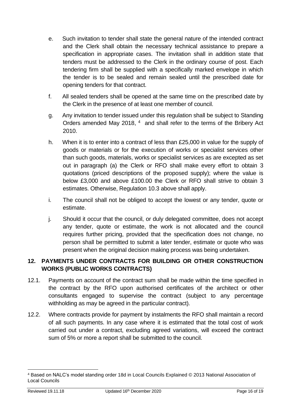- e. Such invitation to tender shall state the general nature of the intended contract and the Clerk shall obtain the necessary technical assistance to prepare a specification in appropriate cases. The invitation shall in addition state that tenders must be addressed to the Clerk in the ordinary course of post. Each tendering firm shall be supplied with a specifically marked envelope in which the tender is to be sealed and remain sealed until the prescribed date for opening tenders for that contract.
- f. All sealed tenders shall be opened at the same time on the prescribed date by the Clerk in the presence of at least one member of council.
- g. Any invitation to tender issued under this regulation shall be subject to Standing Orders amended May 2018, <sup>4</sup> and shall refer to the terms of the Bribery Act 2010.
- h. When it is to enter into a contract of less than £25,000 in value for the supply of goods or materials or for the execution of works or specialist services other than such goods, materials, works or specialist services as are excepted as set out in paragraph (a) the Clerk or RFO shall make every effort to obtain 3 quotations (priced descriptions of the proposed supply); where the value is below £3,000 and above £100.00 the Clerk or RFO shall strive to obtain 3 estimates. Otherwise, Regulation 10.3 above shall apply.
- i. The council shall not be obliged to accept the lowest or any tender, quote or estimate.
- j. Should it occur that the council, or duly delegated committee, does not accept any tender, quote or estimate, the work is not allocated and the council requires further pricing, provided that the specification does not change, no person shall be permitted to submit a later tender, estimate or quote who was present when the original decision making process was being undertaken.

# <span id="page-15-0"></span>**12. PAYMENTS UNDER CONTRACTS FOR BUILDING OR OTHER CONSTRUCTION WORKS (PUBLIC WORKS CONTRACTS)**

- 12.1. Payments on account of the contract sum shall be made within the time specified in the contract by the RFO upon authorised certificates of the architect or other consultants engaged to supervise the contract (subject to any percentage withholding as may be agreed in the particular contract).
- 12.2. Where contracts provide for payment by instalments the RFO shall maintain a record of all such payments. In any case where it is estimated that the total cost of work carried out under a contract, excluding agreed variations, will exceed the contract sum of 5% or more a report shall be submitted to the council.

<sup>4</sup> Based on NALC's model standing order 18d in Local Councils Explained © 2013 National Association of Local Councils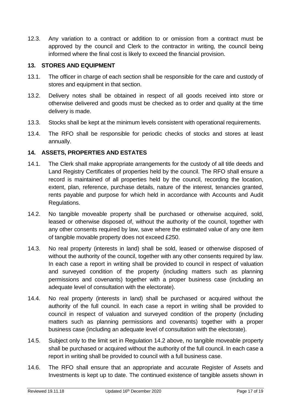12.3. Any variation to a contract or addition to or omission from a contract must be approved by the council and Clerk to the contractor in writing, the council being informed where the final cost is likely to exceed the financial provision.

# <span id="page-16-0"></span>**13. STORES AND EQUIPMENT**

- 13.1. The officer in charge of each section shall be responsible for the care and custody of stores and equipment in that section.
- 13.2. Delivery notes shall be obtained in respect of all goods received into store or otherwise delivered and goods must be checked as to order and quality at the time delivery is made.
- 13.3. Stocks shall be kept at the minimum levels consistent with operational requirements.
- 13.4. The RFO shall be responsible for periodic checks of stocks and stores at least annually.

#### <span id="page-16-1"></span>**14. ASSETS, PROPERTIES AND ESTATES**

- 14.1. The Clerk shall make appropriate arrangements for the custody of all title deeds and Land Registry Certificates of properties held by the council. The RFO shall ensure a record is maintained of all properties held by the council, recording the location, extent, plan, reference, purchase details, nature of the interest, tenancies granted, rents payable and purpose for which held in accordance with Accounts and Audit Regulations.
- 14.2. No tangible moveable property shall be purchased or otherwise acquired, sold, leased or otherwise disposed of, without the authority of the council, together with any other consents required by law, save where the estimated value of any one item of tangible movable property does not exceed £250.
- 14.3. No real property (interests in land) shall be sold, leased or otherwise disposed of without the authority of the council, together with any other consents required by law. In each case a report in writing shall be provided to council in respect of valuation and surveyed condition of the property (including matters such as planning permissions and covenants) together with a proper business case (including an adequate level of consultation with the electorate).
- 14.4. No real property (interests in land) shall be purchased or acquired without the authority of the full council. In each case a report in writing shall be provided to council in respect of valuation and surveyed condition of the property (including matters such as planning permissions and covenants) together with a proper business case (including an adequate level of consultation with the electorate).
- 14.5. Subject only to the limit set in Regulation 14.2 above, no tangible moveable property shall be purchased or acquired without the authority of the full council. In each case a report in writing shall be provided to council with a full business case.
- 14.6. The RFO shall ensure that an appropriate and accurate Register of Assets and Investments is kept up to date. The continued existence of tangible assets shown in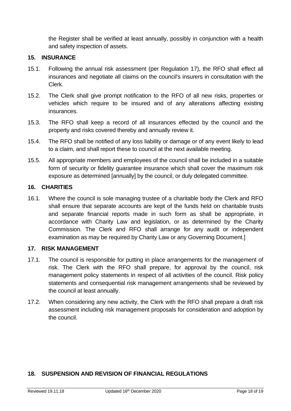the Register shall be verified at least annually, possibly in conjunction with a health and safety inspection of assets.

#### <span id="page-17-0"></span>**15. INSURANCE**

- 15.1. Following the annual risk assessment (per Regulation 17), the RFO shall effect all insurances and negotiate all claims on the council's insurers in consultation with the Clerk.
- 15.2. The Clerk shall give prompt notification to the RFO of all new risks, properties or vehicles which require to be insured and of any alterations affecting existing insurances.
- 15.3. The RFO shall keep a record of all insurances effected by the council and the property and risks covered thereby and annually review it.
- 15.4. The RFO shall be notified of any loss liability or damage or of any event likely to lead to a claim, and shall report these to council at the next available meeting.
- 15.5. All appropriate members and employees of the council shall be included in a suitable form of security or fidelity guarantee insurance which shall cover the maximum risk exposure as determined [annually] by the council, or duly delegated committee.

#### <span id="page-17-1"></span>**16. CHARITIES**

16.1. Where the council is sole managing trustee of a charitable body the Clerk and RFO shall ensure that separate accounts are kept of the funds held on charitable trusts and separate financial reports made in such form as shall be appropriate, in accordance with Charity Law and legislation, or as determined by the Charity Commission. The Clerk and RFO shall arrange for any audit or independent examination as may be required by Charity Law or any Governing Document.]

#### <span id="page-17-2"></span>**17. RISK MANAGEMENT**

- 17.1. The council is responsible for putting in place arrangements for the management of risk. The Clerk with the RFO shall prepare, for approval by the council, risk management policy statements in respect of all activities of the council. Risk policy statements and consequential risk management arrangements shall be reviewed by the council at least annually.
- 17.2. When considering any new activity, the Clerk with the RFO shall prepare a draft risk assessment including risk management proposals for consideration and adoption by the council.

# <span id="page-17-3"></span>**18. SUSPENSION AND REVISION OF FINANCIAL REGULATIONS**